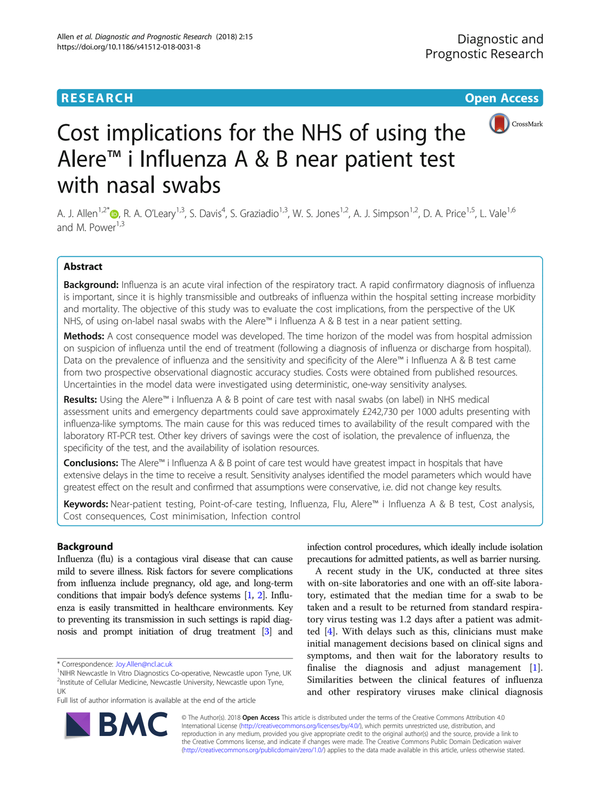## **RESEARCH CHE Open Access**



# Cost implications for the NHS of using the Alere™ i Influenza A & B near patient test with nasal swabs

A. J. Allen<sup>1[,](http://orcid.org/0000-0002-3222-0396)2\*</sup>®, R. A. O'Leary<sup>1,3</sup>, S. Davis<sup>4</sup>, S. Graziadio<sup>1,3</sup>, W. S. Jones<sup>1,2</sup>, A. J. Simpson<sup>1,2</sup>, D. A. Price<sup>1,5</sup>, L. Vale<sup>1,6</sup> and M. Power $1,3$ 

## Abstract

Background: Influenza is an acute viral infection of the respiratory tract. A rapid confirmatory diagnosis of influenza is important, since it is highly transmissible and outbreaks of influenza within the hospital setting increase morbidity and mortality. The objective of this study was to evaluate the cost implications, from the perspective of the UK NHS, of using on-label nasal swabs with the Alere™ i Influenza A & B test in a near patient setting.

Methods: A cost consequence model was developed. The time horizon of the model was from hospital admission on suspicion of influenza until the end of treatment (following a diagnosis of influenza or discharge from hospital). Data on the prevalence of influenza and the sensitivity and specificity of the Alere™ i Influenza A & B test came from two prospective observational diagnostic accuracy studies. Costs were obtained from published resources. Uncertainties in the model data were investigated using deterministic, one-way sensitivity analyses.

Results: Using the Alere™ i Influenza A & B point of care test with nasal swabs (on label) in NHS medical assessment units and emergency departments could save approximately £242,730 per 1000 adults presenting with influenza-like symptoms. The main cause for this was reduced times to availability of the result compared with the laboratory RT-PCR test. Other key drivers of savings were the cost of isolation, the prevalence of influenza, the specificity of the test, and the availability of isolation resources.

Conclusions: The Alere™ i Influenza A & B point of care test would have greatest impact in hospitals that have extensive delays in the time to receive a result. Sensitivity analyses identified the model parameters which would have greatest effect on the result and confirmed that assumptions were conservative, i.e. did not change key results.

Keywords: Near-patient testing, Point-of-care testing, Influenza, Flu, Alere™ i Influenza A & B test, Cost analysis, Cost consequences, Cost minimisation, Infection control

## Background

Influenza (flu) is a contagious viral disease that can cause mild to severe illness. Risk factors for severe complications from influenza include pregnancy, old age, and long-term conditions that impair body's defence systems [\[1,](#page-7-0) [2](#page-7-0)]. Influenza is easily transmitted in healthcare environments. Key to preventing its transmission in such settings is rapid diagnosis and prompt initiation of drug treatment [\[3](#page-7-0)] and infection control procedures, which ideally include isolation precautions for admitted patients, as well as barrier nursing.

A recent study in the UK, conducted at three sites with on-site laboratories and one with an off-site laboratory, estimated that the median time for a swab to be taken and a result to be returned from standard respiratory virus testing was 1.2 days after a patient was admitted [[4\]](#page-7-0). With delays such as this, clinicians must make initial management decisions based on clinical signs and symptoms, and then wait for the laboratory results to finalise the diagnosis and adjust management [\[1](#page-7-0)]. Similarities between the clinical features of influenza and other respiratory viruses make clinical diagnosis



© The Author(s). 2018 Open Access This article is distributed under the terms of the Creative Commons Attribution 4.0 International License [\(http://creativecommons.org/licenses/by/4.0/](http://creativecommons.org/licenses/by/4.0/)), which permits unrestricted use, distribution, and reproduction in any medium, provided you give appropriate credit to the original author(s) and the source, provide a link to the Creative Commons license, and indicate if changes were made. The Creative Commons Public Domain Dedication waiver [\(http://creativecommons.org/publicdomain/zero/1.0/](http://creativecommons.org/publicdomain/zero/1.0/)) applies to the data made available in this article, unless otherwise stated.

<sup>\*</sup> Correspondence: [Joy.Allen@ncl.ac.uk](mailto:Joy.Allen@ncl.ac.uk) <sup>1</sup>

<sup>&</sup>lt;sup>1</sup>NIHR Newcastle In Vitro Diagnostics Co-operative, Newcastle upon Tyne, UK <sup>2</sup>Institute of Cellular Medicine, Newcastle University, Newcastle upon Tyne, UK

Full list of author information is available at the end of the article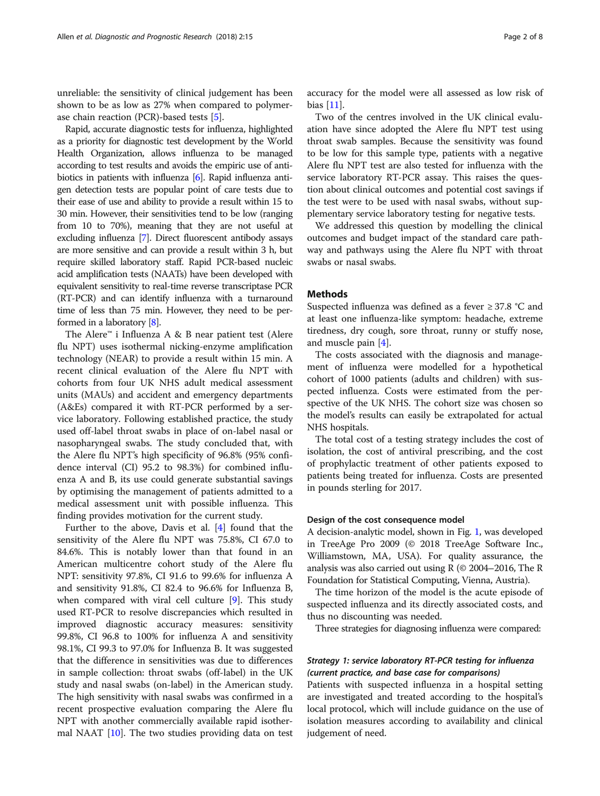unreliable: the sensitivity of clinical judgement has been shown to be as low as 27% when compared to polymerase chain reaction (PCR)-based tests [\[5](#page-7-0)].

Rapid, accurate diagnostic tests for influenza, highlighted as a priority for diagnostic test development by the World Health Organization, allows influenza to be managed according to test results and avoids the empiric use of anti-biotics in patients with influenza [[6](#page-7-0)]. Rapid influenza antigen detection tests are popular point of care tests due to their ease of use and ability to provide a result within 15 to 30 min. However, their sensitivities tend to be low (ranging from 10 to 70%), meaning that they are not useful at excluding influenza [[7](#page-7-0)]. Direct fluorescent antibody assays are more sensitive and can provide a result within 3 h, but require skilled laboratory staff. Rapid PCR-based nucleic acid amplification tests (NAATs) have been developed with equivalent sensitivity to real-time reverse transcriptase PCR (RT-PCR) and can identify influenza with a turnaround time of less than 75 min. However, they need to be performed in a laboratory [\[8\]](#page-7-0).

The Alere™ i Influenza A & B near patient test (Alere flu NPT) uses isothermal nicking-enzyme amplification technology (NEAR) to provide a result within 15 min. A recent clinical evaluation of the Alere flu NPT with cohorts from four UK NHS adult medical assessment units (MAUs) and accident and emergency departments (A&Es) compared it with RT-PCR performed by a service laboratory. Following established practice, the study used off-label throat swabs in place of on-label nasal or nasopharyngeal swabs. The study concluded that, with the Alere flu NPT's high specificity of 96.8% (95% confidence interval (CI) 95.2 to 98.3%) for combined influenza A and B, its use could generate substantial savings by optimising the management of patients admitted to a medical assessment unit with possible influenza. This finding provides motivation for the current study.

Further to the above, Davis et al. [[4\]](#page-7-0) found that the sensitivity of the Alere flu NPT was 75.8%, CI 67.0 to 84.6%. This is notably lower than that found in an American multicentre cohort study of the Alere flu NPT: sensitivity 97.8%, CI 91.6 to 99.6% for influenza A and sensitivity 91.8%, CI 82.4 to 96.6% for Influenza B, when compared with viral cell culture [\[9](#page-7-0)]. This study used RT-PCR to resolve discrepancies which resulted in improved diagnostic accuracy measures: sensitivity 99.8%, CI 96.8 to 100% for influenza A and sensitivity 98.1%, CI 99.3 to 97.0% for Influenza B. It was suggested that the difference in sensitivities was due to differences in sample collection: throat swabs (off-label) in the UK study and nasal swabs (on-label) in the American study. The high sensitivity with nasal swabs was confirmed in a recent prospective evaluation comparing the Alere flu NPT with another commercially available rapid isothermal NAAT [\[10](#page-7-0)]. The two studies providing data on test accuracy for the model were all assessed as low risk of bias [[11\]](#page-7-0).

Two of the centres involved in the UK clinical evaluation have since adopted the Alere flu NPT test using throat swab samples. Because the sensitivity was found to be low for this sample type, patients with a negative Alere flu NPT test are also tested for influenza with the service laboratory RT-PCR assay. This raises the question about clinical outcomes and potential cost savings if the test were to be used with nasal swabs, without supplementary service laboratory testing for negative tests.

We addressed this question by modelling the clinical outcomes and budget impact of the standard care pathway and pathways using the Alere flu NPT with throat swabs or nasal swabs.

#### Methods

Suspected influenza was defined as a fever ≥ 37.8 °C and at least one influenza-like symptom: headache, extreme tiredness, dry cough, sore throat, runny or stuffy nose, and muscle pain [[4\]](#page-7-0).

The costs associated with the diagnosis and management of influenza were modelled for a hypothetical cohort of 1000 patients (adults and children) with suspected influenza. Costs were estimated from the perspective of the UK NHS. The cohort size was chosen so the model's results can easily be extrapolated for actual NHS hospitals.

The total cost of a testing strategy includes the cost of isolation, the cost of antiviral prescribing, and the cost of prophylactic treatment of other patients exposed to patients being treated for influenza. Costs are presented in pounds sterling for 2017.

## Design of the cost consequence model

A decision-analytic model, shown in Fig. [1,](#page-2-0) was developed in TreeAge Pro 2009 (© 2018 TreeAge Software Inc., Williamstown, MA, USA). For quality assurance, the analysis was also carried out using R (© 2004–2016, The R Foundation for Statistical Computing, Vienna, Austria).

The time horizon of the model is the acute episode of suspected influenza and its directly associated costs, and thus no discounting was needed.

Three strategies for diagnosing influenza were compared:

## Strategy 1: service laboratory RT-PCR testing for influenza (current practice, and base case for comparisons)

Patients with suspected influenza in a hospital setting are investigated and treated according to the hospital's local protocol, which will include guidance on the use of isolation measures according to availability and clinical judgement of need.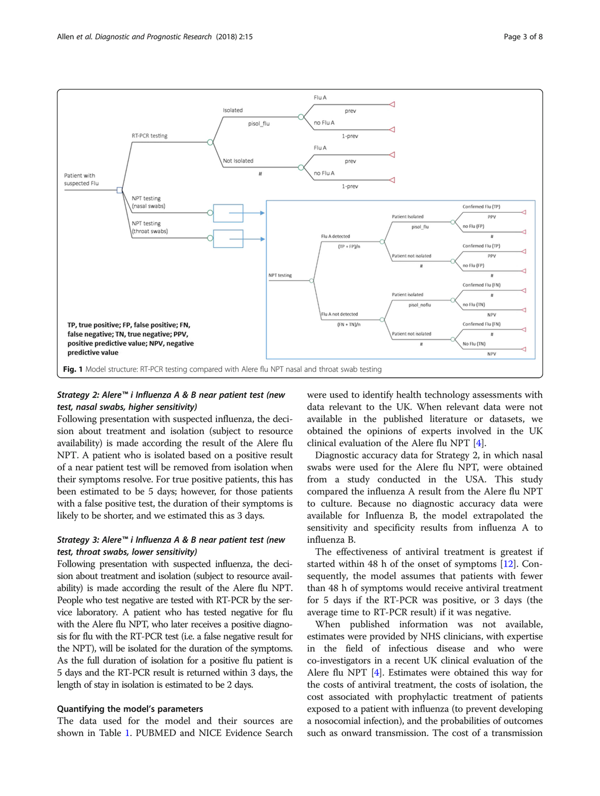<span id="page-2-0"></span>

## Strategy 2: Alere™ i Influenza A & B near patient test (new test, nasal swabs, higher sensitivity)

Following presentation with suspected influenza, the decision about treatment and isolation (subject to resource availability) is made according the result of the Alere flu NPT. A patient who is isolated based on a positive result of a near patient test will be removed from isolation when their symptoms resolve. For true positive patients, this has been estimated to be 5 days; however, for those patients with a false positive test, the duration of their symptoms is likely to be shorter, and we estimated this as 3 days.

## Strategy 3: Alere™ i Influenza A & B near patient test (new test, throat swabs, lower sensitivity)

Following presentation with suspected influenza, the decision about treatment and isolation (subject to resource availability) is made according the result of the Alere flu NPT. People who test negative are tested with RT-PCR by the service laboratory. A patient who has tested negative for flu with the Alere flu NPT, who later receives a positive diagnosis for flu with the RT-PCR test (i.e. a false negative result for the NPT), will be isolated for the duration of the symptoms. As the full duration of isolation for a positive flu patient is 5 days and the RT-PCR result is returned within 3 days, the length of stay in isolation is estimated to be 2 days.

## Quantifying the model's parameters

The data used for the model and their sources are shown in Table [1.](#page-3-0) PUBMED and NICE Evidence Search were used to identify health technology assessments with data relevant to the UK. When relevant data were not available in the published literature or datasets, we obtained the opinions of experts involved in the UK clinical evaluation of the Alere flu NPT [\[4](#page-7-0)].

Diagnostic accuracy data for Strategy 2, in which nasal swabs were used for the Alere flu NPT, were obtained from a study conducted in the USA. This study compared the influenza A result from the Alere flu NPT to culture. Because no diagnostic accuracy data were available for Influenza B, the model extrapolated the sensitivity and specificity results from influenza A to influenza B.

The effectiveness of antiviral treatment is greatest if started within 48 h of the onset of symptoms [\[12](#page-7-0)]. Consequently, the model assumes that patients with fewer than 48 h of symptoms would receive antiviral treatment for 5 days if the RT-PCR was positive, or 3 days (the average time to RT-PCR result) if it was negative.

When published information was not available, estimates were provided by NHS clinicians, with expertise in the field of infectious disease and who were co-investigators in a recent UK clinical evaluation of the Alere flu NPT [\[4](#page-7-0)]. Estimates were obtained this way for the costs of antiviral treatment, the costs of isolation, the cost associated with prophylactic treatment of patients exposed to a patient with influenza (to prevent developing a nosocomial infection), and the probabilities of outcomes such as onward transmission. The cost of a transmission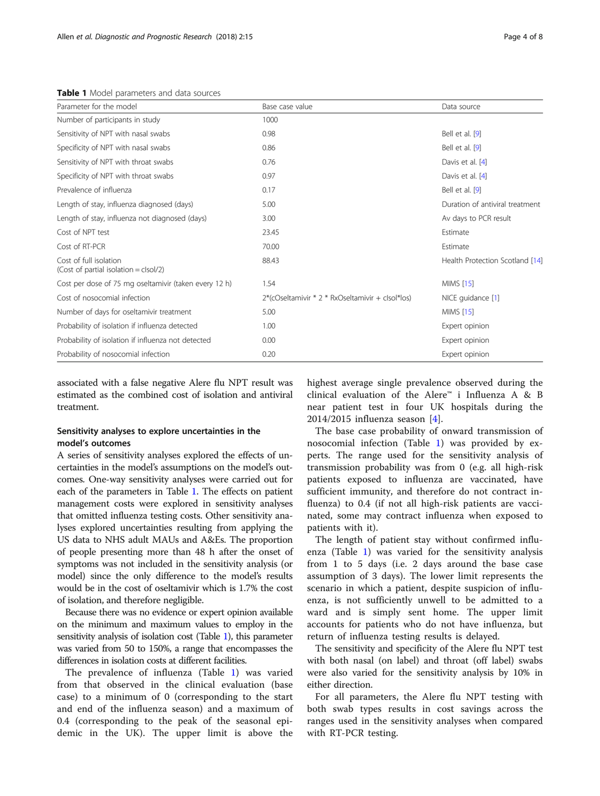| Parameter for the model                                                   | Base case value                                  | Data source                     |
|---------------------------------------------------------------------------|--------------------------------------------------|---------------------------------|
| Number of participants in study                                           | 1000                                             |                                 |
| Sensitivity of NPT with nasal swabs                                       | 0.98                                             | Bell et al. [9]                 |
| Specificity of NPT with nasal swabs                                       | 0.86                                             | Bell et al. [9]                 |
| Sensitivity of NPT with throat swabs                                      | 0.76                                             | Davis et al. [4]                |
| Specificity of NPT with throat swabs                                      | 0.97                                             | Davis et al. [4]                |
| Prevalence of influenza                                                   | 0.17                                             | Bell et al. [9]                 |
| Length of stay, influenza diagnosed (days)                                | 5.00                                             | Duration of antiviral treatment |
| Length of stay, influenza not diagnosed (days)                            | 3.00                                             | Av days to PCR result           |
| Cost of NPT test                                                          | 23.45                                            | Estimate                        |
| Cost of RT-PCR                                                            | 70.00                                            | Estimate                        |
| Cost of full isolation<br>(Cost of partial isolation = $\text{clsol}/2$ ) | 88.43                                            | Health Protection Scotland [14] |
| Cost per dose of 75 mg oseltamivir (taken every 12 h)                     | 1.54                                             | <b>MIMS</b> [15]                |
| Cost of nosocomial infection                                              | 2*(cOseltamivir * 2 * RxOseltamivir + clsol*los) | NICE quidance [1]               |
| Number of days for oseltamivir treatment                                  | 5.00                                             | <b>MIMS</b> [15]                |
| Probability of isolation if influenza detected                            | 1.00                                             | Expert opinion                  |
| Probability of isolation if influenza not detected                        | 0.00                                             | Expert opinion                  |
| Probability of nosocomial infection                                       | 0.20                                             | Expert opinion                  |

<span id="page-3-0"></span>Table 1 Model parameters and data sources

associated with a false negative Alere flu NPT result was estimated as the combined cost of isolation and antiviral treatment.

## Sensitivity analyses to explore uncertainties in the model's outcomes

A series of sensitivity analyses explored the effects of uncertainties in the model's assumptions on the model's outcomes. One-way sensitivity analyses were carried out for each of the parameters in Table 1. The effects on patient management costs were explored in sensitivity analyses that omitted influenza testing costs. Other sensitivity analyses explored uncertainties resulting from applying the US data to NHS adult MAUs and A&Es. The proportion of people presenting more than 48 h after the onset of symptoms was not included in the sensitivity analysis (or model) since the only difference to the model's results would be in the cost of oseltamivir which is 1.7% the cost of isolation, and therefore negligible.

Because there was no evidence or expert opinion available on the minimum and maximum values to employ in the sensitivity analysis of isolation cost (Table 1), this parameter was varied from 50 to 150%, a range that encompasses the differences in isolation costs at different facilities.

The prevalence of influenza (Table 1) was varied from that observed in the clinical evaluation (base case) to a minimum of 0 (corresponding to the start and end of the influenza season) and a maximum of 0.4 (corresponding to the peak of the seasonal epidemic in the UK). The upper limit is above the highest average single prevalence observed during the clinical evaluation of the Alere™ i Influenza A & B near patient test in four UK hospitals during the 2014/2015 influenza season [\[4](#page-7-0)].

The base case probability of onward transmission of nosocomial infection (Table 1) was provided by experts. The range used for the sensitivity analysis of transmission probability was from 0 (e.g. all high-risk patients exposed to influenza are vaccinated, have sufficient immunity, and therefore do not contract influenza) to 0.4 (if not all high-risk patients are vaccinated, some may contract influenza when exposed to patients with it).

The length of patient stay without confirmed influenza (Table  $1$ ) was varied for the sensitivity analysis from 1 to 5 days (i.e. 2 days around the base case assumption of 3 days). The lower limit represents the scenario in which a patient, despite suspicion of influenza, is not sufficiently unwell to be admitted to a ward and is simply sent home. The upper limit accounts for patients who do not have influenza, but return of influenza testing results is delayed.

The sensitivity and specificity of the Alere flu NPT test with both nasal (on label) and throat (off label) swabs were also varied for the sensitivity analysis by 10% in either direction.

For all parameters, the Alere flu NPT testing with both swab types results in cost savings across the ranges used in the sensitivity analyses when compared with RT-PCR testing.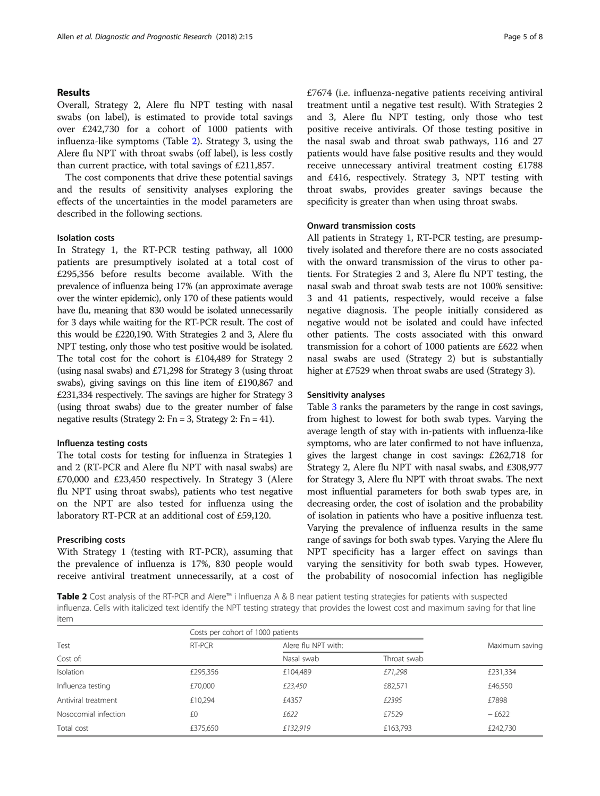## Results

Overall, Strategy 2, Alere flu NPT testing with nasal swabs (on label), is estimated to provide total savings over £242,730 for a cohort of 1000 patients with influenza-like symptoms (Table 2). Strategy 3, using the Alere flu NPT with throat swabs (off label), is less costly than current practice, with total savings of £211,857.

The cost components that drive these potential savings and the results of sensitivity analyses exploring the effects of the uncertainties in the model parameters are described in the following sections.

#### Isolation costs

In Strategy 1, the RT-PCR testing pathway, all 1000 patients are presumptively isolated at a total cost of £295,356 before results become available. With the prevalence of influenza being 17% (an approximate average over the winter epidemic), only 170 of these patients would have flu, meaning that 830 would be isolated unnecessarily for 3 days while waiting for the RT-PCR result. The cost of this would be £220,190. With Strategies 2 and 3, Alere flu NPT testing, only those who test positive would be isolated. The total cost for the cohort is £104,489 for Strategy 2 (using nasal swabs) and £71,298 for Strategy 3 (using throat swabs), giving savings on this line item of £190,867 and £231,334 respectively. The savings are higher for Strategy 3 (using throat swabs) due to the greater number of false negative results (Strategy 2:  $Fn = 3$ , Strategy 2:  $Fn = 41$ ).

### Influenza testing costs

The total costs for testing for influenza in Strategies 1 and 2 (RT-PCR and Alere flu NPT with nasal swabs) are £70,000 and £23,450 respectively. In Strategy 3 (Alere flu NPT using throat swabs), patients who test negative on the NPT are also tested for influenza using the laboratory RT-PCR at an additional cost of £59,120.

## Prescribing costs

With Strategy 1 (testing with RT-PCR), assuming that the prevalence of influenza is 17%, 830 people would receive antiviral treatment unnecessarily, at a cost of £7674 (i.e. influenza-negative patients receiving antiviral treatment until a negative test result). With Strategies 2 and 3, Alere flu NPT testing, only those who test positive receive antivirals. Of those testing positive in the nasal swab and throat swab pathways, 116 and 27 patients would have false positive results and they would receive unnecessary antiviral treatment costing £1788 and £416, respectively. Strategy 3, NPT testing with throat swabs, provides greater savings because the specificity is greater than when using throat swabs.

#### Onward transmission costs

All patients in Strategy 1, RT-PCR testing, are presumptively isolated and therefore there are no costs associated with the onward transmission of the virus to other patients. For Strategies 2 and 3, Alere flu NPT testing, the nasal swab and throat swab tests are not 100% sensitive: 3 and 41 patients, respectively, would receive a false negative diagnosis. The people initially considered as negative would not be isolated and could have infected other patients. The costs associated with this onward transmission for a cohort of 1000 patients are £622 when nasal swabs are used (Strategy 2) but is substantially higher at £7529 when throat swabs are used (Strategy 3).

#### Sensitivity analyses

Table [3](#page-5-0) ranks the parameters by the range in cost savings, from highest to lowest for both swab types. Varying the average length of stay with in-patients with influenza-like symptoms, who are later confirmed to not have influenza, gives the largest change in cost savings: £262,718 for Strategy 2, Alere flu NPT with nasal swabs, and £308,977 for Strategy 3, Alere flu NPT with throat swabs. The next most influential parameters for both swab types are, in decreasing order, the cost of isolation and the probability of isolation in patients who have a positive influenza test. Varying the prevalence of influenza results in the same range of savings for both swab types. Varying the Alere flu NPT specificity has a larger effect on savings than varying the sensitivity for both swab types. However, the probability of nosocomial infection has negligible

Table 2 Cost analysis of the RT-PCR and Alere™ i Influenza A & B near patient testing strategies for patients with suspected influenza. Cells with italicized text identify the NPT testing strategy that provides the lowest cost and maximum saving for that line item

| Test<br>Cost of:     | Costs per cohort of 1000 patients |                     |             |                |  |
|----------------------|-----------------------------------|---------------------|-------------|----------------|--|
|                      | RT-PCR                            | Alere flu NPT with: |             | Maximum saving |  |
|                      |                                   | Nasal swab          | Throat swab |                |  |
| Isolation            | £295,356                          | £104,489            | £71,298     | £231,334       |  |
| Influenza testing    | £70,000                           | £23,450             | £82,571     | £46,550        |  |
| Antiviral treatment  | £10,294                           | £4357               | £2395       | £7898          |  |
| Nosocomial infection | £0                                | £622                | £7529       | $-£622$        |  |
| Total cost           | £375,650                          | £132,919            | £163,793    | £242,730       |  |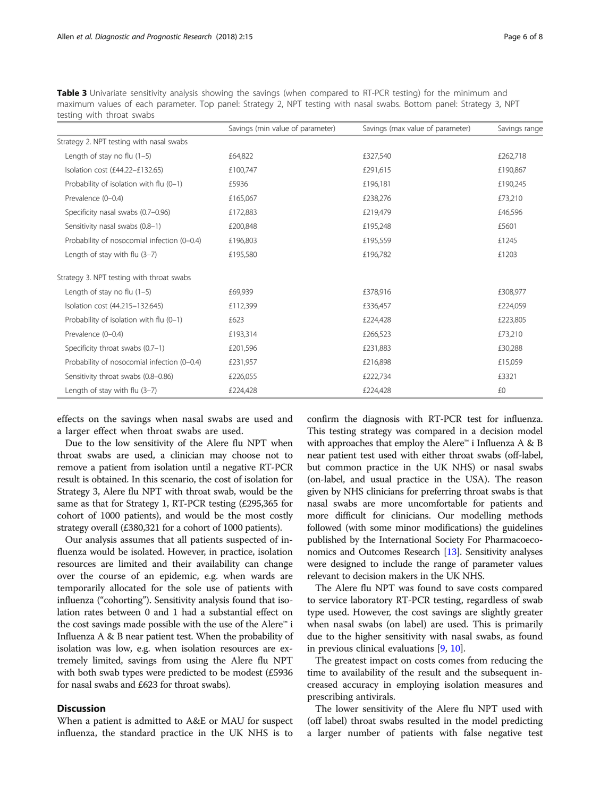<span id="page-5-0"></span>

| <b>Table 3</b> Univariate sensitivity analysis showing the savings (when compared to RT-PCR testing) for the minimum and |  |
|--------------------------------------------------------------------------------------------------------------------------|--|
| maximum values of each parameter. Top panel: Strategy 2, NPT testing with nasal swabs. Bottom panel: Strategy 3, NPT     |  |
| testing with throat swabs                                                                                                |  |

|                                             | Savings (min value of parameter) | Savings (max value of parameter) | Savings range |
|---------------------------------------------|----------------------------------|----------------------------------|---------------|
| Strategy 2. NPT testing with nasal swabs    |                                  |                                  |               |
| Length of stay no flu $(1-5)$               | £64,822                          | £327,540                         | £262,718      |
| Isolation cost $(E44.22 - E132.65)$         | £100,747                         | £291,615                         | £190,867      |
| Probability of isolation with flu (0-1)     | £5936                            | £196,181                         | £190,245      |
| Prevalence (0-0.4)                          | £165,067                         | £238,276                         | £73,210       |
| Specificity nasal swabs (0.7-0.96)          | £172,883                         | £219.479                         | £46,596       |
| Sensitivity nasal swabs (0.8-1)             | £200,848                         | £195,248                         | £5601         |
| Probability of nosocomial infection (0-0.4) | £196,803                         | £195,559                         | £1245         |
| Length of stay with flu $(3-7)$             | £195,580                         | £196.782                         | £1203         |
| Strategy 3. NPT testing with throat swabs   |                                  |                                  |               |
| Length of stay no flu $(1-5)$               | £69,939                          | £378,916                         | £308,977      |
| Isolation cost (44.215-132.645)             | £112,399                         | £336,457                         | £224,059      |
| Probability of isolation with flu (0-1)     | £623                             | £224,428                         | £223,805      |
| Prevalence (0-0.4)                          | £193,314                         | £266,523                         | £73,210       |
| Specificity throat swabs (0.7-1)            | £201,596                         | £231,883                         | £30,288       |
| Probability of nosocomial infection (0-0.4) | £231,957                         | £216,898                         | £15,059       |
| Sensitivity throat swabs (0.8-0.86)         | £226,055                         | £222,734                         | £3321         |
| Length of stay with flu (3-7)               | £224,428                         | £224.428                         | £0            |

effects on the savings when nasal swabs are used and a larger effect when throat swabs are used.

Due to the low sensitivity of the Alere flu NPT when throat swabs are used, a clinician may choose not to remove a patient from isolation until a negative RT-PCR result is obtained. In this scenario, the cost of isolation for Strategy 3, Alere flu NPT with throat swab, would be the same as that for Strategy 1, RT-PCR testing (£295,365 for cohort of 1000 patients), and would be the most costly strategy overall (£380,321 for a cohort of 1000 patients).

Our analysis assumes that all patients suspected of influenza would be isolated. However, in practice, isolation resources are limited and their availability can change over the course of an epidemic, e.g. when wards are temporarily allocated for the sole use of patients with influenza ("cohorting"). Sensitivity analysis found that isolation rates between 0 and 1 had a substantial effect on the cost savings made possible with the use of the Alere™ i Influenza A & B near patient test. When the probability of isolation was low, e.g. when isolation resources are extremely limited, savings from using the Alere flu NPT with both swab types were predicted to be modest (£5936 for nasal swabs and £623 for throat swabs).

## **Discussion**

When a patient is admitted to A&E or MAU for suspect influenza, the standard practice in the UK NHS is to confirm the diagnosis with RT-PCR test for influenza. This testing strategy was compared in a decision model with approaches that employ the Alere™ i Influenza A & B near patient test used with either throat swabs (off-label, but common practice in the UK NHS) or nasal swabs (on-label, and usual practice in the USA). The reason given by NHS clinicians for preferring throat swabs is that nasal swabs are more uncomfortable for patients and more difficult for clinicians. Our modelling methods followed (with some minor modifications) the guidelines published by the International Society For Pharmacoeconomics and Outcomes Research [\[13\]](#page-7-0). Sensitivity analyses were designed to include the range of parameter values relevant to decision makers in the UK NHS.

The Alere flu NPT was found to save costs compared to service laboratory RT-PCR testing, regardless of swab type used. However, the cost savings are slightly greater when nasal swabs (on label) are used. This is primarily due to the higher sensitivity with nasal swabs, as found in previous clinical evaluations [[9,](#page-7-0) [10\]](#page-7-0).

The greatest impact on costs comes from reducing the time to availability of the result and the subsequent increased accuracy in employing isolation measures and prescribing antivirals.

The lower sensitivity of the Alere flu NPT used with (off label) throat swabs resulted in the model predicting a larger number of patients with false negative test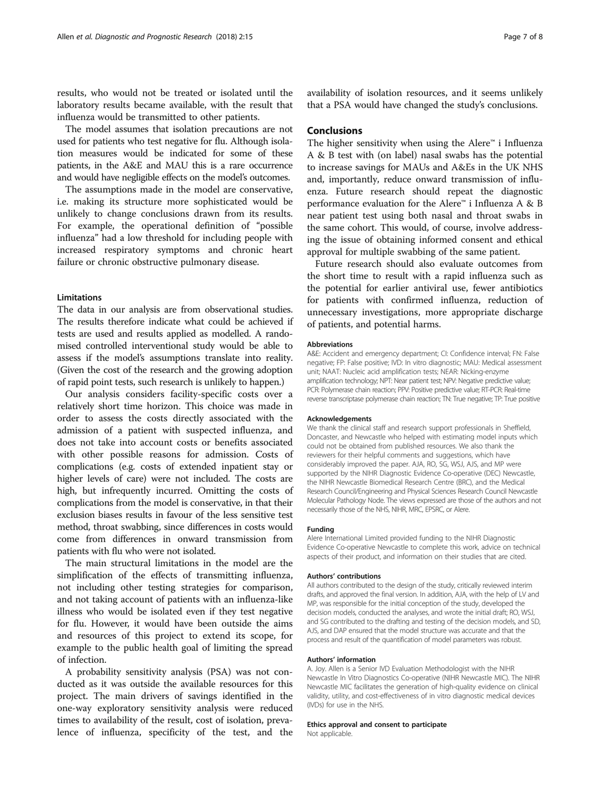results, who would not be treated or isolated until the laboratory results became available, with the result that influenza would be transmitted to other patients.

The model assumes that isolation precautions are not used for patients who test negative for flu. Although isolation measures would be indicated for some of these patients, in the A&E and MAU this is a rare occurrence and would have negligible effects on the model's outcomes.

The assumptions made in the model are conservative, i.e. making its structure more sophisticated would be unlikely to change conclusions drawn from its results. For example, the operational definition of "possible influenza" had a low threshold for including people with increased respiratory symptoms and chronic heart failure or chronic obstructive pulmonary disease.

## Limitations

The data in our analysis are from observational studies. The results therefore indicate what could be achieved if tests are used and results applied as modelled. A randomised controlled interventional study would be able to assess if the model's assumptions translate into reality. (Given the cost of the research and the growing adoption of rapid point tests, such research is unlikely to happen.)

Our analysis considers facility-specific costs over a relatively short time horizon. This choice was made in order to assess the costs directly associated with the admission of a patient with suspected influenza, and does not take into account costs or benefits associated with other possible reasons for admission. Costs of complications (e.g. costs of extended inpatient stay or higher levels of care) were not included. The costs are high, but infrequently incurred. Omitting the costs of complications from the model is conservative, in that their exclusion biases results in favour of the less sensitive test method, throat swabbing, since differences in costs would come from differences in onward transmission from patients with flu who were not isolated.

The main structural limitations in the model are the simplification of the effects of transmitting influenza, not including other testing strategies for comparison, and not taking account of patients with an influenza-like illness who would be isolated even if they test negative for flu. However, it would have been outside the aims and resources of this project to extend its scope, for example to the public health goal of limiting the spread of infection.

A probability sensitivity analysis (PSA) was not conducted as it was outside the available resources for this project. The main drivers of savings identified in the one-way exploratory sensitivity analysis were reduced times to availability of the result, cost of isolation, prevalence of influenza, specificity of the test, and the availability of isolation resources, and it seems unlikely that a PSA would have changed the study's conclusions.

## Conclusions

The higher sensitivity when using the Alere™ i Influenza A & B test with (on label) nasal swabs has the potential to increase savings for MAUs and A&Es in the UK NHS and, importantly, reduce onward transmission of influenza. Future research should repeat the diagnostic performance evaluation for the Alere™ i Influenza A & B near patient test using both nasal and throat swabs in the same cohort. This would, of course, involve addressing the issue of obtaining informed consent and ethical approval for multiple swabbing of the same patient.

Future research should also evaluate outcomes from the short time to result with a rapid influenza such as the potential for earlier antiviral use, fewer antibiotics for patients with confirmed influenza, reduction of unnecessary investigations, more appropriate discharge of patients, and potential harms.

#### Abbreviations

A&E: Accident and emergency department; CI: Confidence interval; FN: False negative; FP: False positive; IVD: In vitro diagnostic; MAU: Medical assessment unit; NAAT: Nucleic acid amplification tests; NEAR: Nicking-enzyme amplification technology; NPT: Near patient test; NPV: Negative predictive value; PCR: Polymerase chain reaction; PPV: Positive predictive value; RT-PCR: Real-time reverse transcriptase polymerase chain reaction; TN: True negative; TP: True positive

#### Acknowledgements

We thank the clinical staff and research support professionals in Sheffield, Doncaster, and Newcastle who helped with estimating model inputs which could not be obtained from published resources. We also thank the reviewers for their helpful comments and suggestions, which have considerably improved the paper. AJA, RO, SG, WSJ, AJS, and MP were supported by the NIHR Diagnostic Evidence Co-operative (DEC) Newcastle, the NIHR Newcastle Biomedical Research Centre (BRC), and the Medical Research Council/Engineering and Physical Sciences Research Council Newcastle Molecular Pathology Node. The views expressed are those of the authors and not necessarily those of the NHS, NIHR, MRC, EPSRC, or Alere.

#### Funding

Alere International Limited provided funding to the NIHR Diagnostic Evidence Co-operative Newcastle to complete this work, advice on technical aspects of their product, and information on their studies that are cited.

#### Authors' contributions

All authors contributed to the design of the study, critically reviewed interim drafts, and approved the final version. In addition, AJA, with the help of LV and MP, was responsible for the initial conception of the study, developed the decision models, conducted the analyses, and wrote the initial draft; RO, WSJ, and SG contributed to the drafting and testing of the decision models, and SD, AJS, and DAP ensured that the model structure was accurate and that the process and result of the quantification of model parameters was robust.

#### Authors' information

A. Joy. Allen is a Senior IVD Evaluation Methodologist with the NIHR Newcastle In Vitro Diagnostics Co-operative (NIHR Newcastle MIC). The NIHR Newcastle MIC facilitates the generation of high-quality evidence on clinical validity, utility, and cost-effectiveness of in vitro diagnostic medical devices (IVDs) for use in the NHS.

## Ethics approval and consent to participate

Not applicable.